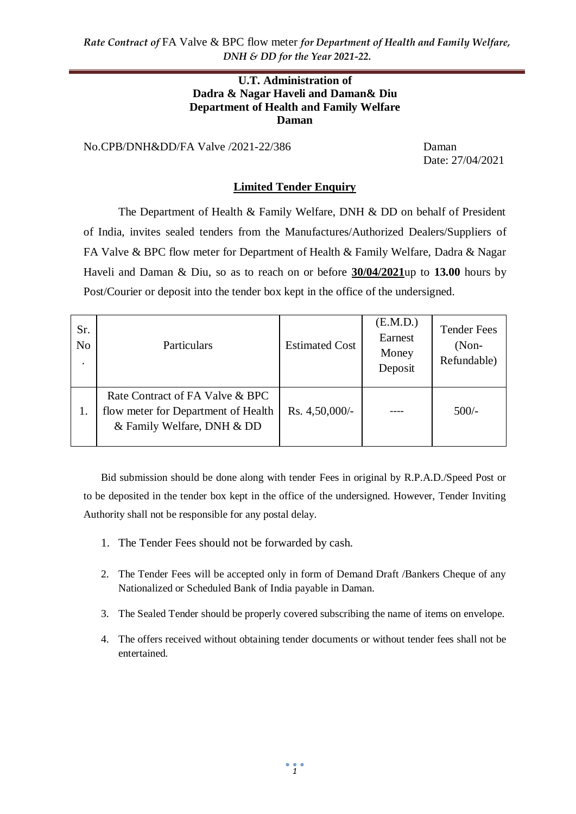*Rate Contract of* FA Valve & BPC flow meter *for Department of Health and Family Welfare, DNH & DD for the Year 2021-22.*

#### **U.T. Administration of Dadra & Nagar Haveli and Daman& Diu Department of Health and Family Welfare Daman**

No.CPB/DNH&DD/FA Valve /2021-22/386 Daman

Date: 27/04/2021

#### **Limited Tender Enquiry**

The Department of Health & Family Welfare, DNH & DD on behalf of President of India, invites sealed tenders from the Manufactures/Authorized Dealers/Suppliers of FA Valve & BPC flow meter for Department of Health & Family Welfare, Dadra & Nagar Haveli and Daman & Diu, so as to reach on or before **30/04/2021**up to **13.00** hours by Post/Courier or deposit into the tender box kept in the office of the undersigned.

| Sr.<br>N <sub>o</sub><br>٠ | Particulars                                                                                          | <b>Estimated Cost</b> | (E.M.D.)<br>Earnest<br>Money<br>Deposit | <b>Tender Fees</b><br>$(Non-$<br>Refundable) |
|----------------------------|------------------------------------------------------------------------------------------------------|-----------------------|-----------------------------------------|----------------------------------------------|
| 1.                         | Rate Contract of FA Valve & BPC<br>flow meter for Department of Health<br>& Family Welfare, DNH & DD | Rs. 4,50,000/-        |                                         | $500/-$                                      |

Bid submission should be done along with tender Fees in original by R.P.A.D./Speed Post or to be deposited in the tender box kept in the office of the undersigned. However, Tender Inviting Authority shall not be responsible for any postal delay.

- 1. The Tender Fees should not be forwarded by cash.
- 2. The Tender Fees will be accepted only in form of Demand Draft /Bankers Cheque of any Nationalized or Scheduled Bank of India payable in Daman.
- 3. The Sealed Tender should be properly covered subscribing the name of items on envelope.
- 4. The offers received without obtaining tender documents or without tender fees shall not be entertained.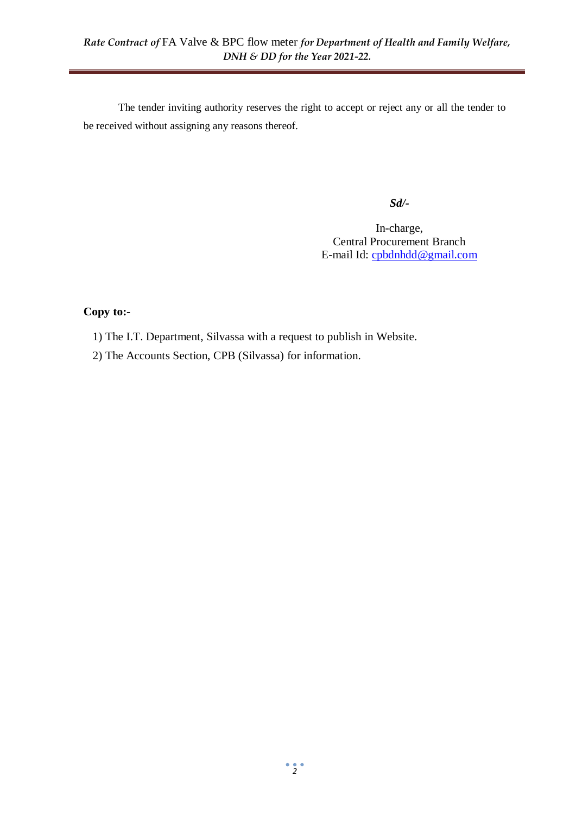The tender inviting authority reserves the right to accept or reject any or all the tender to be received without assigning any reasons thereof.

*Sd/-*

In-charge, Central Procurement Branch E-mail Id: [cpbdnhdd@gmail.com](mailto:cpbdnhdd@gmail.com)

## **Copy to:-**

- 1) The I.T. Department, Silvassa with a request to publish in Website.
- 2) The Accounts Section, CPB (Silvassa) for information.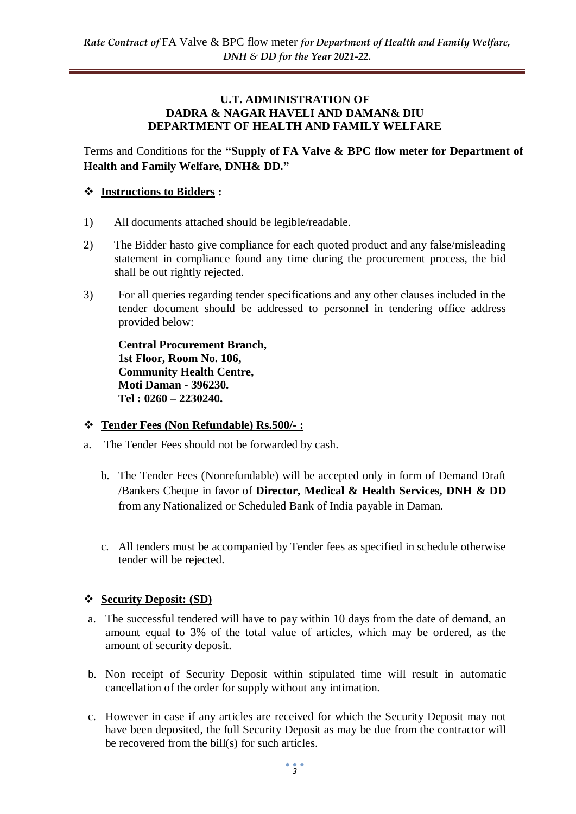#### **U.T. ADMINISTRATION OF DADRA & NAGAR HAVELI AND DAMAN& DIU DEPARTMENT OF HEALTH AND FAMILY WELFARE**

Terms and Conditions for the **"Supply of FA Valve & BPC flow meter for Department of Health and Family Welfare, DNH& DD."**

### **Instructions to Bidders :**

- 1) All documents attached should be legible/readable.
- 2) The Bidder hasto give compliance for each quoted product and any false/misleading statement in compliance found any time during the procurement process, the bid shall be out rightly rejected.
- 3) For all queries regarding tender specifications and any other clauses included in the tender document should be addressed to personnel in tendering office address provided below:

**Central Procurement Branch, 1st Floor, Room No. 106, Community Health Centre, Moti Daman - 396230. Tel : 0260 – 2230240.**

#### **Tender Fees (Non Refundable) Rs.500/- :**

- a. The Tender Fees should not be forwarded by cash.
	- b. The Tender Fees (Nonrefundable) will be accepted only in form of Demand Draft /Bankers Cheque in favor of **Director, Medical & Health Services, DNH & DD**  from any Nationalized or Scheduled Bank of India payable in Daman.
	- c. All tenders must be accompanied by Tender fees as specified in schedule otherwise tender will be rejected.

#### **Security Deposit: (SD)**

- a. The successful tendered will have to pay within 10 days from the date of demand, an amount equal to 3% of the total value of articles, which may be ordered, as the amount of security deposit.
- b. Non receipt of Security Deposit within stipulated time will result in automatic cancellation of the order for supply without any intimation.
- c. However in case if any articles are received for which the Security Deposit may not have been deposited, the full Security Deposit as may be due from the contractor will be recovered from the bill(s) for such articles.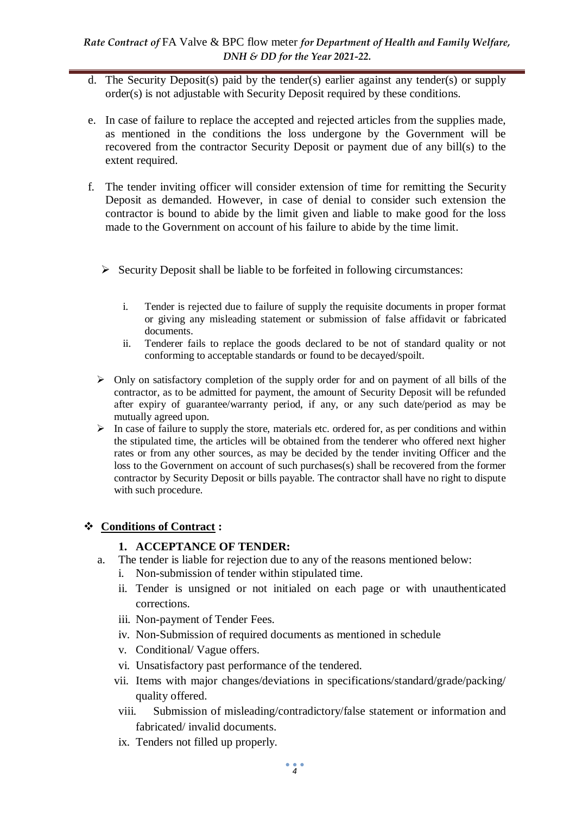- d. The Security Deposit(s) paid by the tender(s) earlier against any tender(s) or supply order(s) is not adjustable with Security Deposit required by these conditions.
- e. In case of failure to replace the accepted and rejected articles from the supplies made, as mentioned in the conditions the loss undergone by the Government will be recovered from the contractor Security Deposit or payment due of any bill(s) to the extent required.
- f. The tender inviting officer will consider extension of time for remitting the Security Deposit as demanded. However, in case of denial to consider such extension the contractor is bound to abide by the limit given and liable to make good for the loss made to the Government on account of his failure to abide by the time limit.
	- $\triangleright$  Security Deposit shall be liable to be forfeited in following circumstances:
		- i. Tender is rejected due to failure of supply the requisite documents in proper format or giving any misleading statement or submission of false affidavit or fabricated documents.
		- ii. Tenderer fails to replace the goods declared to be not of standard quality or not conforming to acceptable standards or found to be decayed/spoilt.
	- $\triangleright$  Only on satisfactory completion of the supply order for and on payment of all bills of the contractor, as to be admitted for payment, the amount of Security Deposit will be refunded after expiry of guarantee/warranty period, if any, or any such date/period as may be mutually agreed upon.
	- $\triangleright$  In case of failure to supply the store, materials etc. ordered for, as per conditions and within the stipulated time, the articles will be obtained from the tenderer who offered next higher rates or from any other sources, as may be decided by the tender inviting Officer and the loss to the Government on account of such purchases(s) shall be recovered from the former contractor by Security Deposit or bills payable. The contractor shall have no right to dispute with such procedure.

## **Conditions of Contract :**

## **1. ACCEPTANCE OF TENDER:**

- a. The tender is liable for rejection due to any of the reasons mentioned below:
	- i. Non-submission of tender within stipulated time.
	- ii. Tender is unsigned or not initialed on each page or with unauthenticated corrections.
	- iii. Non-payment of Tender Fees.
	- iv. Non-Submission of required documents as mentioned in schedule
	- v. Conditional/ Vague offers.
	- vi. Unsatisfactory past performance of the tendered.
	- vii. Items with major changes/deviations in specifications/standard/grade/packing/ quality offered.
	- viii. Submission of misleading/contradictory/false statement or information and fabricated/ invalid documents.
	- ix. Tenders not filled up properly.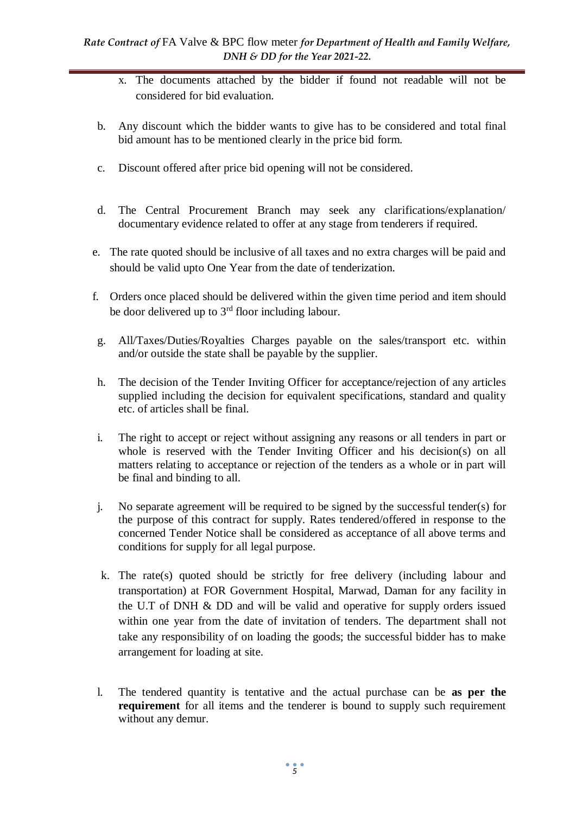- x. The documents attached by the bidder if found not readable will not be considered for bid evaluation.
- b. Any discount which the bidder wants to give has to be considered and total final bid amount has to be mentioned clearly in the price bid form.
- c. Discount offered after price bid opening will not be considered.
- d. The Central Procurement Branch may seek any clarifications/explanation/ documentary evidence related to offer at any stage from tenderers if required.
- e. The rate quoted should be inclusive of all taxes and no extra charges will be paid and should be valid upto One Year from the date of tenderization.
- f. Orders once placed should be delivered within the given time period and item should be door delivered up to  $3<sup>rd</sup>$  floor including labour.
- g. All/Taxes/Duties/Royalties Charges payable on the sales/transport etc. within and/or outside the state shall be payable by the supplier.
- h. The decision of the Tender Inviting Officer for acceptance/rejection of any articles supplied including the decision for equivalent specifications, standard and quality etc. of articles shall be final.
- i. The right to accept or reject without assigning any reasons or all tenders in part or whole is reserved with the Tender Inviting Officer and his decision(s) on all matters relating to acceptance or rejection of the tenders as a whole or in part will be final and binding to all.
- j. No separate agreement will be required to be signed by the successful tender(s) for the purpose of this contract for supply. Rates tendered/offered in response to the concerned Tender Notice shall be considered as acceptance of all above terms and conditions for supply for all legal purpose.
- k. The rate(s) quoted should be strictly for free delivery (including labour and transportation) at FOR Government Hospital, Marwad, Daman for any facility in the U.T of DNH & DD and will be valid and operative for supply orders issued within one year from the date of invitation of tenders. The department shall not take any responsibility of on loading the goods; the successful bidder has to make arrangement for loading at site.
- l. The tendered quantity is tentative and the actual purchase can be **as per the requirement** for all items and the tenderer is bound to supply such requirement without any demur.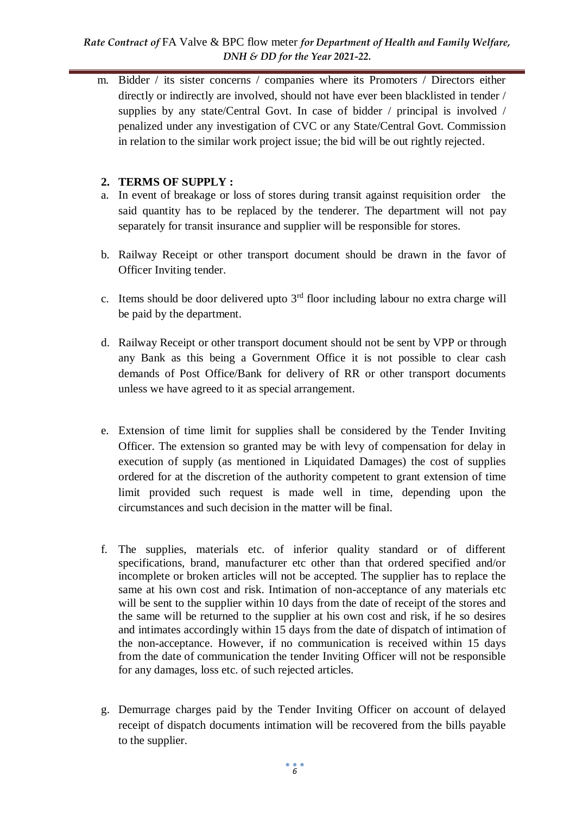#### *Rate Contract of* FA Valve & BPC flow meter *for Department of Health and Family Welfare, DNH & DD for the Year 2021-22.*

m. Bidder / its sister concerns / companies where its Promoters / Directors either directly or indirectly are involved, should not have ever been blacklisted in tender / supplies by any state/Central Govt. In case of bidder / principal is involved / penalized under any investigation of CVC or any State/Central Govt. Commission in relation to the similar work project issue; the bid will be out rightly rejected.

### **2. TERMS OF SUPPLY :**

- a. In event of breakage or loss of stores during transit against requisition order the said quantity has to be replaced by the tenderer. The department will not pay separately for transit insurance and supplier will be responsible for stores.
- b. Railway Receipt or other transport document should be drawn in the favor of Officer Inviting tender.
- c. Items should be door delivered upto  $3<sup>rd</sup>$  floor including labour no extra charge will be paid by the department.
- d. Railway Receipt or other transport document should not be sent by VPP or through any Bank as this being a Government Office it is not possible to clear cash demands of Post Office/Bank for delivery of RR or other transport documents unless we have agreed to it as special arrangement.
- e. Extension of time limit for supplies shall be considered by the Tender Inviting Officer. The extension so granted may be with levy of compensation for delay in execution of supply (as mentioned in Liquidated Damages) the cost of supplies ordered for at the discretion of the authority competent to grant extension of time limit provided such request is made well in time, depending upon the circumstances and such decision in the matter will be final.
- f. The supplies, materials etc. of inferior quality standard or of different specifications, brand, manufacturer etc other than that ordered specified and/or incomplete or broken articles will not be accepted. The supplier has to replace the same at his own cost and risk. Intimation of non-acceptance of any materials etc will be sent to the supplier within 10 days from the date of receipt of the stores and the same will be returned to the supplier at his own cost and risk, if he so desires and intimates accordingly within 15 days from the date of dispatch of intimation of the non-acceptance. However, if no communication is received within 15 days from the date of communication the tender Inviting Officer will not be responsible for any damages, loss etc. of such rejected articles.
- g. Demurrage charges paid by the Tender Inviting Officer on account of delayed receipt of dispatch documents intimation will be recovered from the bills payable to the supplier.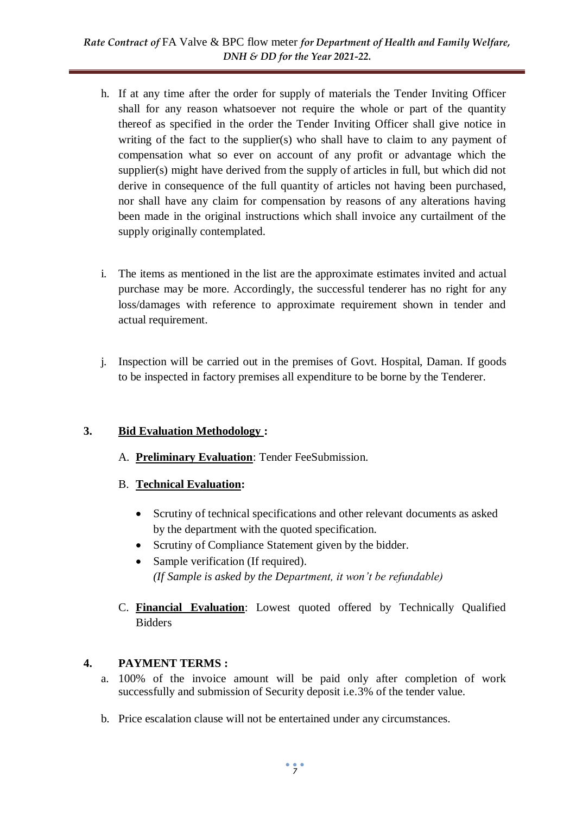- h. If at any time after the order for supply of materials the Tender Inviting Officer shall for any reason whatsoever not require the whole or part of the quantity thereof as specified in the order the Tender Inviting Officer shall give notice in writing of the fact to the supplier(s) who shall have to claim to any payment of compensation what so ever on account of any profit or advantage which the supplier(s) might have derived from the supply of articles in full, but which did not derive in consequence of the full quantity of articles not having been purchased, nor shall have any claim for compensation by reasons of any alterations having been made in the original instructions which shall invoice any curtailment of the supply originally contemplated.
- i. The items as mentioned in the list are the approximate estimates invited and actual purchase may be more. Accordingly, the successful tenderer has no right for any loss/damages with reference to approximate requirement shown in tender and actual requirement.
- j. Inspection will be carried out in the premises of Govt. Hospital, Daman. If goods to be inspected in factory premises all expenditure to be borne by the Tenderer.

## **3. Bid Evaluation Methodology :**

- A. **Preliminary Evaluation**: Tender FeeSubmission.
- B. **Technical Evaluation:** 
	- Scrutiny of technical specifications and other relevant documents as asked by the department with the quoted specification.
	- Scrutiny of Compliance Statement given by the bidder.
	- Sample verification (If required). *(If Sample is asked by the Department, it won't be refundable)*
- C. **Financial Evaluation**: Lowest quoted offered by Technically Qualified Bidders

# **4. PAYMENT TERMS :**

- a. 100% of the invoice amount will be paid only after completion of work successfully and submission of Security deposit i.e.3% of the tender value.
- b. Price escalation clause will not be entertained under any circumstances.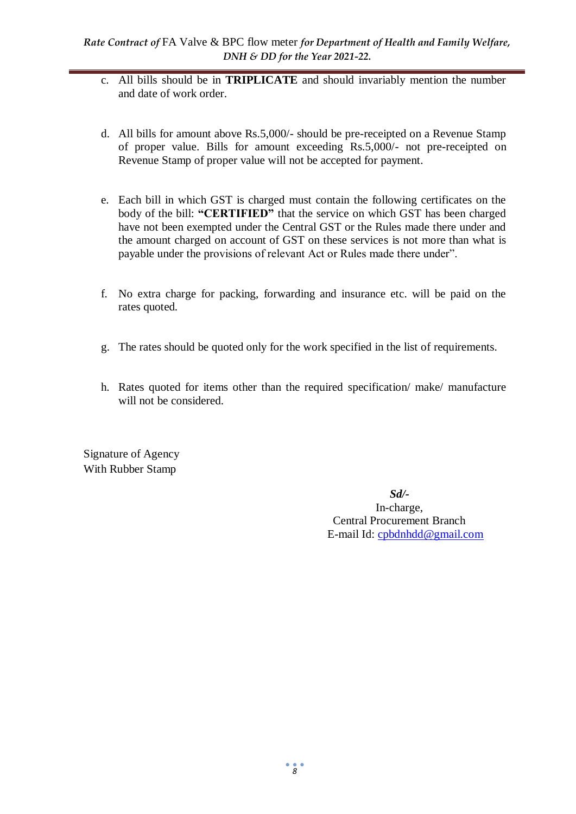- c. All bills should be in **TRIPLICATE** and should invariably mention the number and date of work order.
- d. All bills for amount above Rs.5,000/- should be pre-receipted on a Revenue Stamp of proper value. Bills for amount exceeding Rs.5,000/- not pre-receipted on Revenue Stamp of proper value will not be accepted for payment.
- e. Each bill in which GST is charged must contain the following certificates on the body of the bill: **"CERTIFIED"** that the service on which GST has been charged have not been exempted under the Central GST or the Rules made there under and the amount charged on account of GST on these services is not more than what is payable under the provisions of relevant Act or Rules made there under".
- f. No extra charge for packing, forwarding and insurance etc. will be paid on the rates quoted.
- g. The rates should be quoted only for the work specified in the list of requirements.
- h. Rates quoted for items other than the required specification/ make/ manufacture will not be considered.

Signature of Agency With Rubber Stamp

> *Sd/-* In-charge, Central Procurement Branch E-mail Id: [cpbdnhdd@gmail.com](mailto:cpbdnhdd@gmail.com)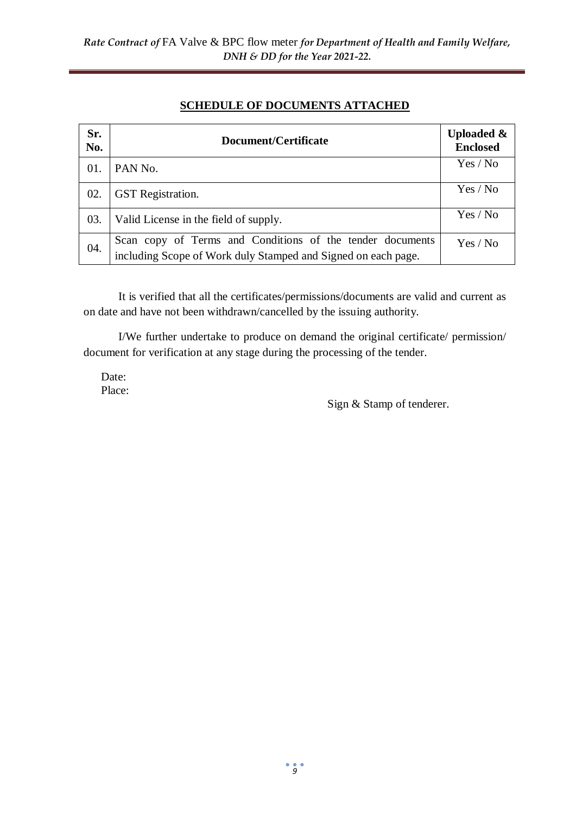### **SCHEDULE OF DOCUMENTS ATTACHED**

| Sr.<br>No. | Document/Certificate                                                                                                       | <b>Uploaded &amp;</b><br><b>Enclosed</b> |
|------------|----------------------------------------------------------------------------------------------------------------------------|------------------------------------------|
| 01.        | PAN No.                                                                                                                    | Yes / No                                 |
| 02.        | <b>GST</b> Registration.                                                                                                   | Yes / No                                 |
| 03.        | Valid License in the field of supply.                                                                                      | Yes / No                                 |
| 04.        | Scan copy of Terms and Conditions of the tender documents<br>including Scope of Work duly Stamped and Signed on each page. | Yes / No                                 |

It is verified that all the certificates/permissions/documents are valid and current as on date and have not been withdrawn/cancelled by the issuing authority.

I/We further undertake to produce on demand the original certificate/ permission/ document for verification at any stage during the processing of the tender.

Date: Place:

Sign & Stamp of tenderer.